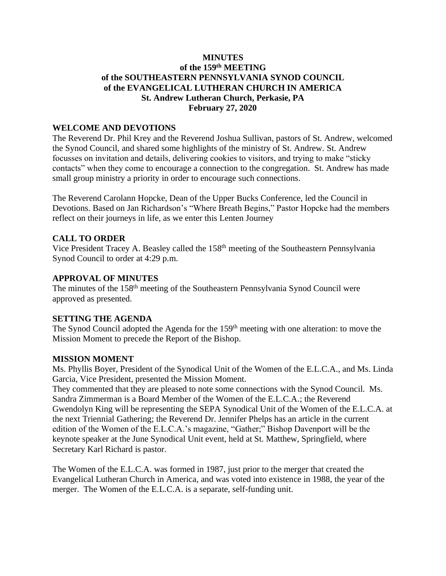# **MINUTES of the 159 th MEETING of the SOUTHEASTERN PENNSYLVANIA SYNOD COUNCIL of the EVANGELICAL LUTHERAN CHURCH IN AMERICA St. Andrew Lutheran Church, Perkasie, PA February 27, 2020**

### **WELCOME AND DEVOTIONS**

The Reverend Dr. Phil Krey and the Reverend Joshua Sullivan, pastors of St. Andrew, welcomed the Synod Council, and shared some highlights of the ministry of St. Andrew. St. Andrew focusses on invitation and details, delivering cookies to visitors, and trying to make "sticky contacts" when they come to encourage a connection to the congregation. St. Andrew has made small group ministry a priority in order to encourage such connections.

The Reverend Carolann Hopcke, Dean of the Upper Bucks Conference, led the Council in Devotions. Based on Jan Richardson's "Where Breath Begins," Pastor Hopcke had the members reflect on their journeys in life, as we enter this Lenten Journey

## **CALL TO ORDER**

Vice President Tracey A. Beasley called the 158<sup>th</sup> meeting of the Southeastern Pennsylvania Synod Council to order at 4:29 p.m.

### **APPROVAL OF MINUTES**

The minutes of the 158<sup>th</sup> meeting of the Southeastern Pennsylvania Synod Council were approved as presented.

### **SETTING THE AGENDA**

The Synod Council adopted the Agenda for the 159<sup>th</sup> meeting with one alteration: to move the Mission Moment to precede the Report of the Bishop.

### **MISSION MOMENT**

Ms. Phyllis Boyer, President of the Synodical Unit of the Women of the E.L.C.A., and Ms. Linda Garcia, Vice President, presented the Mission Moment.

They commented that they are pleased to note some connections with the Synod Council. Ms. Sandra Zimmerman is a Board Member of the Women of the E.L.C.A.; the Reverend Gwendolyn King will be representing the SEPA Synodical Unit of the Women of the E.L.C.A. at the next Triennial Gathering; the Reverend Dr. Jennifer Phelps has an article in the current edition of the Women of the E.L.C.A.'s magazine, "Gather;" Bishop Davenport will be the keynote speaker at the June Synodical Unit event, held at St. Matthew, Springfield, where Secretary Karl Richard is pastor.

The Women of the E.L.C.A. was formed in 1987, just prior to the merger that created the Evangelical Lutheran Church in America, and was voted into existence in 1988, the year of the merger. The Women of the E.L.C.A. is a separate, self-funding unit.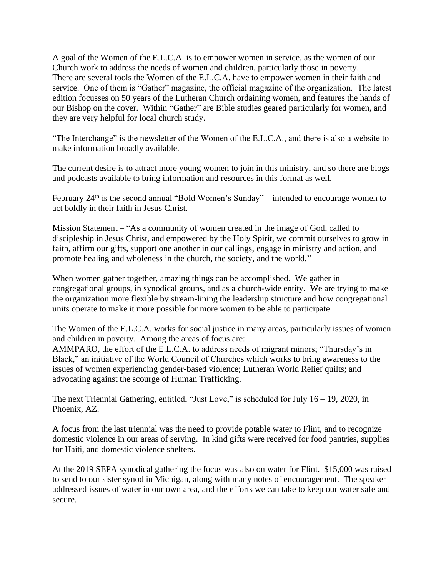A goal of the Women of the E.L.C.A. is to empower women in service, as the women of our Church work to address the needs of women and children, particularly those in poverty. There are several tools the Women of the E.L.C.A. have to empower women in their faith and service. One of them is "Gather" magazine, the official magazine of the organization. The latest edition focusses on 50 years of the Lutheran Church ordaining women, and features the hands of our Bishop on the cover. Within "Gather" are Bible studies geared particularly for women, and they are very helpful for local church study.

"The Interchange" is the newsletter of the Women of the E.L.C.A., and there is also a website to make information broadly available.

The current desire is to attract more young women to join in this ministry, and so there are blogs and podcasts available to bring information and resources in this format as well.

February  $24<sup>th</sup>$  is the second annual "Bold Women's Sunday" – intended to encourage women to act boldly in their faith in Jesus Christ.

Mission Statement – "As a community of women created in the image of God, called to discipleship in Jesus Christ, and empowered by the Holy Spirit, we commit ourselves to grow in faith, affirm our gifts, support one another in our callings, engage in ministry and action, and promote healing and wholeness in the church, the society, and the world."

When women gather together, amazing things can be accomplished. We gather in congregational groups, in synodical groups, and as a church-wide entity. We are trying to make the organization more flexible by stream-lining the leadership structure and how congregational units operate to make it more possible for more women to be able to participate.

The Women of the E.L.C.A. works for social justice in many areas, particularly issues of women and children in poverty. Among the areas of focus are:

AMMPARO, the effort of the E.L.C.A. to address needs of migrant minors; "Thursday's in Black," an initiative of the World Council of Churches which works to bring awareness to the issues of women experiencing gender-based violence; Lutheran World Relief quilts; and advocating against the scourge of Human Trafficking.

The next Triennial Gathering, entitled, "Just Love," is scheduled for July 16 – 19, 2020, in Phoenix, AZ.

A focus from the last triennial was the need to provide potable water to Flint, and to recognize domestic violence in our areas of serving. In kind gifts were received for food pantries, supplies for Haiti, and domestic violence shelters.

At the 2019 SEPA synodical gathering the focus was also on water for Flint. \$15,000 was raised to send to our sister synod in Michigan, along with many notes of encouragement. The speaker addressed issues of water in our own area, and the efforts we can take to keep our water safe and secure.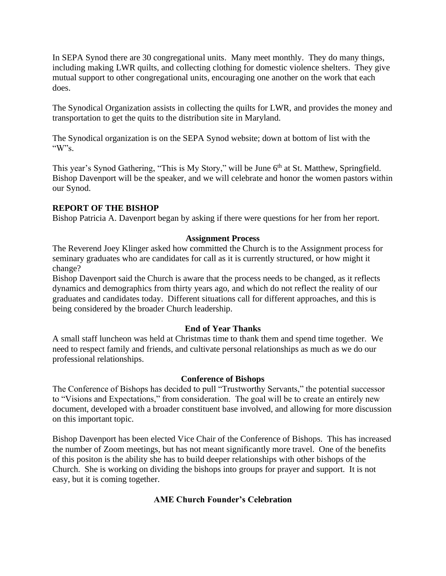In SEPA Synod there are 30 congregational units. Many meet monthly. They do many things, including making LWR quilts, and collecting clothing for domestic violence shelters. They give mutual support to other congregational units, encouraging one another on the work that each does.

The Synodical Organization assists in collecting the quilts for LWR, and provides the money and transportation to get the quits to the distribution site in Maryland.

The Synodical organization is on the SEPA Synod website; down at bottom of list with the " $W$ "s.

This year's Synod Gathering, "This is My Story," will be June 6<sup>th</sup> at St. Matthew, Springfield. Bishop Davenport will be the speaker, and we will celebrate and honor the women pastors within our Synod.

# **REPORT OF THE BISHOP**

Bishop Patricia A. Davenport began by asking if there were questions for her from her report.

## **Assignment Process**

The Reverend Joey Klinger asked how committed the Church is to the Assignment process for seminary graduates who are candidates for call as it is currently structured, or how might it change?

Bishop Davenport said the Church is aware that the process needs to be changed, as it reflects dynamics and demographics from thirty years ago, and which do not reflect the reality of our graduates and candidates today. Different situations call for different approaches, and this is being considered by the broader Church leadership.

# **End of Year Thanks**

A small staff luncheon was held at Christmas time to thank them and spend time together. We need to respect family and friends, and cultivate personal relationships as much as we do our professional relationships.

# **Conference of Bishops**

The Conference of Bishops has decided to pull "Trustworthy Servants," the potential successor to "Visions and Expectations," from consideration. The goal will be to create an entirely new document, developed with a broader constituent base involved, and allowing for more discussion on this important topic.

Bishop Davenport has been elected Vice Chair of the Conference of Bishops. This has increased the number of Zoom meetings, but has not meant significantly more travel. One of the benefits of this positon is the ability she has to build deeper relationships with other bishops of the Church. She is working on dividing the bishops into groups for prayer and support. It is not easy, but it is coming together.

# **AME Church Founder's Celebration**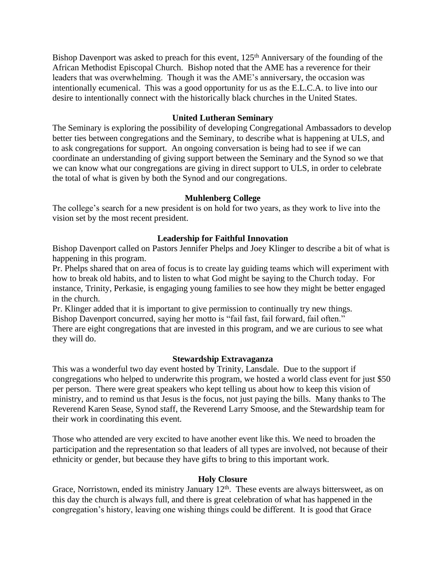Bishop Davenport was asked to preach for this event, 125<sup>th</sup> Anniversary of the founding of the African Methodist Episcopal Church. Bishop noted that the AME has a reverence for their leaders that was overwhelming. Though it was the AME's anniversary, the occasion was intentionally ecumenical. This was a good opportunity for us as the E.L.C.A. to live into our desire to intentionally connect with the historically black churches in the United States.

## **United Lutheran Seminary**

The Seminary is exploring the possibility of developing Congregational Ambassadors to develop better ties between congregations and the Seminary, to describe what is happening at ULS, and to ask congregations for support. An ongoing conversation is being had to see if we can coordinate an understanding of giving support between the Seminary and the Synod so we that we can know what our congregations are giving in direct support to ULS, in order to celebrate the total of what is given by both the Synod and our congregations.

## **Muhlenberg College**

The college's search for a new president is on hold for two years, as they work to live into the vision set by the most recent president.

# **Leadership for Faithful Innovation**

Bishop Davenport called on Pastors Jennifer Phelps and Joey Klinger to describe a bit of what is happening in this program.

Pr. Phelps shared that on area of focus is to create lay guiding teams which will experiment with how to break old habits, and to listen to what God might be saying to the Church today. For instance, Trinity, Perkasie, is engaging young families to see how they might be better engaged in the church.

Pr. Klinger added that it is important to give permission to continually try new things. Bishop Davenport concurred, saying her motto is "fail fast, fail forward, fail often." There are eight congregations that are invested in this program, and we are curious to see what

they will do.

# **Stewardship Extravaganza**

This was a wonderful two day event hosted by Trinity, Lansdale. Due to the support if congregations who helped to underwrite this program, we hosted a world class event for just \$50 per person. There were great speakers who kept telling us about how to keep this vision of ministry, and to remind us that Jesus is the focus, not just paying the bills. Many thanks to The Reverend Karen Sease, Synod staff, the Reverend Larry Smoose, and the Stewardship team for their work in coordinating this event.

Those who attended are very excited to have another event like this. We need to broaden the participation and the representation so that leaders of all types are involved, not because of their ethnicity or gender, but because they have gifts to bring to this important work.

### **Holy Closure**

Grace, Norristown, ended its ministry January  $12<sup>th</sup>$ . These events are always bittersweet, as on this day the church is always full, and there is great celebration of what has happened in the congregation's history, leaving one wishing things could be different. It is good that Grace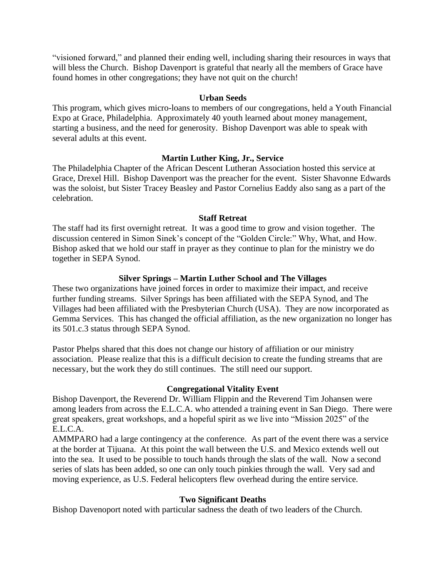"visioned forward," and planned their ending well, including sharing their resources in ways that will bless the Church. Bishop Davenport is grateful that nearly all the members of Grace have found homes in other congregations; they have not quit on the church!

### **Urban Seeds**

This program, which gives micro-loans to members of our congregations, held a Youth Financial Expo at Grace, Philadelphia. Approximately 40 youth learned about money management, starting a business, and the need for generosity. Bishop Davenport was able to speak with several adults at this event.

#### **Martin Luther King, Jr., Service**

The Philadelphia Chapter of the African Descent Lutheran Association hosted this service at Grace, Drexel Hill. Bishop Davenport was the preacher for the event. Sister Shavonne Edwards was the soloist, but Sister Tracey Beasley and Pastor Cornelius Eaddy also sang as a part of the celebration.

#### **Staff Retreat**

The staff had its first overnight retreat. It was a good time to grow and vision together. The discussion centered in Simon Sinek's concept of the "Golden Circle:" Why, What, and How. Bishop asked that we hold our staff in prayer as they continue to plan for the ministry we do together in SEPA Synod.

#### **Silver Springs – Martin Luther School and The Villages**

These two organizations have joined forces in order to maximize their impact, and receive further funding streams. Silver Springs has been affiliated with the SEPA Synod, and The Villages had been affiliated with the Presbyterian Church (USA). They are now incorporated as Gemma Services. This has changed the official affiliation, as the new organization no longer has its 501.c.3 status through SEPA Synod.

Pastor Phelps shared that this does not change our history of affiliation or our ministry association. Please realize that this is a difficult decision to create the funding streams that are necessary, but the work they do still continues. The still need our support.

#### **Congregational Vitality Event**

Bishop Davenport, the Reverend Dr. William Flippin and the Reverend Tim Johansen were among leaders from across the E.L.C.A. who attended a training event in San Diego. There were great speakers, great workshops, and a hopeful spirit as we live into "Mission 2025" of the E.L.C.A.

AMMPARO had a large contingency at the conference. As part of the event there was a service at the border at Tijuana. At this point the wall between the U.S. and Mexico extends well out into the sea. It used to be possible to touch hands through the slats of the wall. Now a second series of slats has been added, so one can only touch pinkies through the wall. Very sad and moving experience, as U.S. Federal helicopters flew overhead during the entire service.

#### **Two Significant Deaths**

Bishop Davenoport noted with particular sadness the death of two leaders of the Church.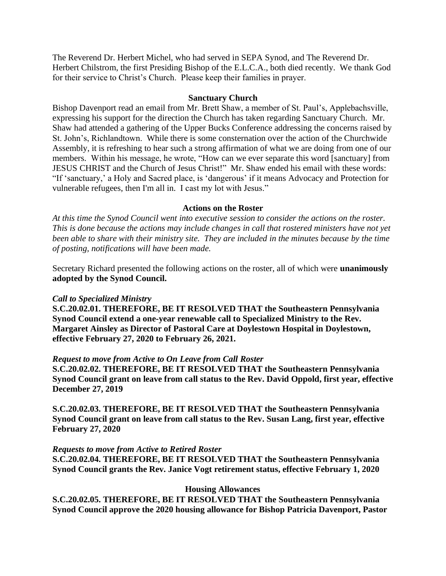The Reverend Dr. Herbert Michel, who had served in SEPA Synod, and The Reverend Dr. Herbert Chilstrom, the first Presiding Bishop of the E.L.C.A., both died recently. We thank God for their service to Christ's Church. Please keep their families in prayer.

#### **Sanctuary Church**

Bishop Davenport read an email from Mr. Brett Shaw, a member of St. Paul's, Applebachsville, expressing his support for the direction the Church has taken regarding Sanctuary Church. Mr. Shaw had attended a gathering of the Upper Bucks Conference addressing the concerns raised by St. John's, Richlandtown. While there is some consternation over the action of the Churchwide Assembly, it is refreshing to hear such a strong affirmation of what we are doing from one of our members. Within his message, he wrote, "How can we ever separate this word [sanctuary] from JESUS CHRIST and the Church of Jesus Christ!" Mr. Shaw ended his email with these words: "If 'sanctuary,' a Holy and Sacred place, is 'dangerous' if it means Advocacy and Protection for vulnerable refugees, then I'm all in. I cast my lot with Jesus."

### **Actions on the Roster**

*At this time the Synod Council went into executive session to consider the actions on the roster. This is done because the actions may include changes in call that rostered ministers have not yet been able to share with their ministry site. They are included in the minutes because by the time of posting, notifications will have been made.*

Secretary Richard presented the following actions on the roster, all of which were **unanimously adopted by the Synod Council.**

### *Call to Specialized Ministry*

**S.C.20.02.01. THEREFORE, BE IT RESOLVED THAT the Southeastern Pennsylvania Synod Council extend a one-year renewable call to Specialized Ministry to the Rev. Margaret Ainsley as Director of Pastoral Care at Doylestown Hospital in Doylestown, effective February 27, 2020 to February 26, 2021.**

#### *Request to move from Active to On Leave from Call Roster*

**S.C.20.02.02. THEREFORE, BE IT RESOLVED THAT the Southeastern Pennsylvania Synod Council grant on leave from call status to the Rev. David Oppold, first year, effective December 27, 2019**

**S.C.20.02.03. THEREFORE, BE IT RESOLVED THAT the Southeastern Pennsylvania Synod Council grant on leave from call status to the Rev. Susan Lang, first year, effective February 27, 2020**

#### *Requests to move from Active to Retired Roster*

**S.C.20.02.04. THEREFORE, BE IT RESOLVED THAT the Southeastern Pennsylvania Synod Council grants the Rev. Janice Vogt retirement status, effective February 1, 2020**

#### **Housing Allowances**

**S.C.20.02.05. THEREFORE, BE IT RESOLVED THAT the Southeastern Pennsylvania Synod Council approve the 2020 housing allowance for Bishop Patricia Davenport, Pastor**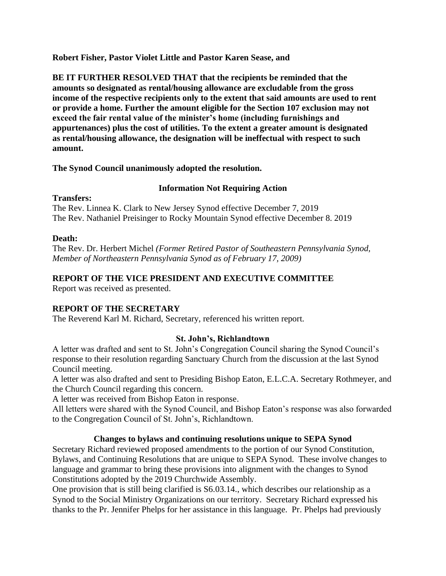**Robert Fisher, Pastor Violet Little and Pastor Karen Sease, and**

**BE IT FURTHER RESOLVED THAT that the recipients be reminded that the amounts so designated as rental/housing allowance are excludable from the gross income of the respective recipients only to the extent that said amounts are used to rent or provide a home. Further the amount eligible for the Section 107 exclusion may not exceed the fair rental value of the minister's home (including furnishings and appurtenances) plus the cost of utilities. To the extent a greater amount is designated as rental/housing allowance, the designation will be ineffectual with respect to such amount.**

## **The Synod Council unanimously adopted the resolution.**

# **Information Not Requiring Action**

## **Transfers:**

The Rev. Linnea K. Clark to New Jersey Synod effective December 7, 2019 The Rev. Nathaniel Preisinger to Rocky Mountain Synod effective December 8. 2019

# **Death:**

The Rev. Dr. Herbert Michel *(Former Retired Pastor of Southeastern Pennsylvania Synod, Member of Northeastern Pennsylvania Synod as of February 17, 2009)*

# **REPORT OF THE VICE PRESIDENT AND EXECUTIVE COMMITTEE**

Report was received as presented.

# **REPORT OF THE SECRETARY**

The Reverend Karl M. Richard, Secretary, referenced his written report.

# **St. John's, Richlandtown**

A letter was drafted and sent to St. John's Congregation Council sharing the Synod Council's response to their resolution regarding Sanctuary Church from the discussion at the last Synod Council meeting.

A letter was also drafted and sent to Presiding Bishop Eaton, E.L.C.A. Secretary Rothmeyer, and the Church Council regarding this concern.

A letter was received from Bishop Eaton in response.

All letters were shared with the Synod Council, and Bishop Eaton's response was also forwarded to the Congregation Council of St. John's, Richlandtown.

# **Changes to bylaws and continuing resolutions unique to SEPA Synod**

Secretary Richard reviewed proposed amendments to the portion of our Synod Constitution, Bylaws, and Continuing Resolutions that are unique to SEPA Synod. These involve changes to language and grammar to bring these provisions into alignment with the changes to Synod Constitutions adopted by the 2019 Churchwide Assembly.

One provision that is still being clarified is S6.03.14., which describes our relationship as a Synod to the Social Ministry Organizations on our territory. Secretary Richard expressed his thanks to the Pr. Jennifer Phelps for her assistance in this language. Pr. Phelps had previously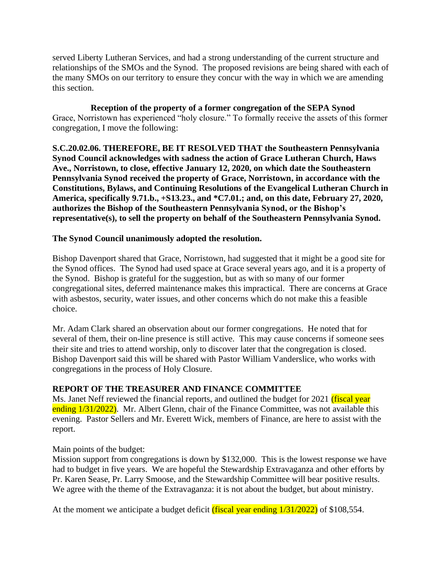served Liberty Lutheran Services, and had a strong understanding of the current structure and relationships of the SMOs and the Synod. The proposed revisions are being shared with each of the many SMOs on our territory to ensure they concur with the way in which we are amending this section.

**Reception of the property of a former congregation of the SEPA Synod** Grace, Norristown has experienced "holy closure." To formally receive the assets of this former congregation, I move the following:

**S.C.20.02.06. THEREFORE, BE IT RESOLVED THAT the Southeastern Pennsylvania Synod Council acknowledges with sadness the action of Grace Lutheran Church, Haws Ave., Norristown, to close, effective January 12, 2020, on which date the Southeastern Pennsylvania Synod received the property of Grace, Norristown, in accordance with the Constitutions, Bylaws, and Continuing Resolutions of the Evangelical Lutheran Church in America, specifically 9.71.b., +S13.23., and \*C7.01.; and, on this date, February 27, 2020, authorizes the Bishop of the Southeastern Pennsylvania Synod, or the Bishop's representative(s), to sell the property on behalf of the Southeastern Pennsylvania Synod.**

# **The Synod Council unanimously adopted the resolution.**

Bishop Davenport shared that Grace, Norristown, had suggested that it might be a good site for the Synod offices. The Synod had used space at Grace several years ago, and it is a property of the Synod. Bishop is grateful for the suggestion, but as with so many of our former congregational sites, deferred maintenance makes this impractical. There are concerns at Grace with asbestos, security, water issues, and other concerns which do not make this a feasible choice.

Mr. Adam Clark shared an observation about our former congregations. He noted that for several of them, their on-line presence is still active. This may cause concerns if someone sees their site and tries to attend worship, only to discover later that the congregation is closed. Bishop Davenport said this will be shared with Pastor William Vanderslice, who works with congregations in the process of Holy Closure.

### **REPORT OF THE TREASURER AND FINANCE COMMITTEE**

Ms. Janet Neff reviewed the financial reports, and outlined the budget for 2021 (fiscal year ending  $1/31/2022$ ). Mr. Albert Glenn, chair of the Finance Committee, was not available this evening. Pastor Sellers and Mr. Everett Wick, members of Finance, are here to assist with the report.

### Main points of the budget:

Mission support from congregations is down by \$132,000. This is the lowest response we have had to budget in five years. We are hopeful the Stewardship Extravaganza and other efforts by Pr. Karen Sease, Pr. Larry Smoose, and the Stewardship Committee will bear positive results. We agree with the theme of the Extravaganza: it is not about the budget, but about ministry.

At the moment we anticipate a budget deficit  $(f_{\text{IS}})$  vear ending  $1/31/2022$  of \$108,554.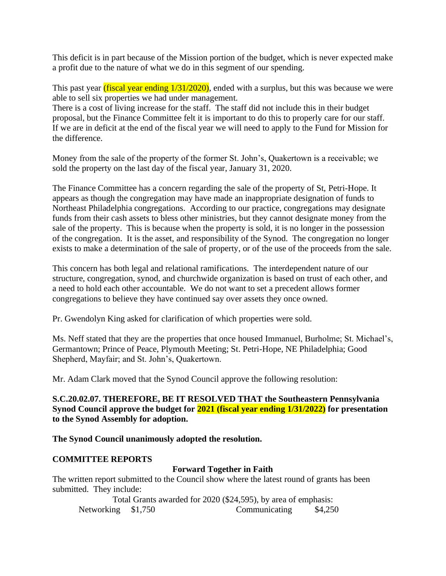This deficit is in part because of the Mission portion of the budget, which is never expected make a profit due to the nature of what we do in this segment of our spending.

This past year *(fiscal year ending 1/31/2020)*, ended with a surplus, but this was because we were able to sell six properties we had under management.

There is a cost of living increase for the staff. The staff did not include this in their budget proposal, but the Finance Committee felt it is important to do this to properly care for our staff. If we are in deficit at the end of the fiscal year we will need to apply to the Fund for Mission for the difference.

Money from the sale of the property of the former St. John's, Quakertown is a receivable; we sold the property on the last day of the fiscal year, January 31, 2020.

The Finance Committee has a concern regarding the sale of the property of St, Petri-Hope. It appears as though the congregation may have made an inappropriate designation of funds to Northeast Philadelphia congregations. According to our practice, congregations may designate funds from their cash assets to bless other ministries, but they cannot designate money from the sale of the property. This is because when the property is sold, it is no longer in the possession of the congregation. It is the asset, and responsibility of the Synod. The congregation no longer exists to make a determination of the sale of property, or of the use of the proceeds from the sale.

This concern has both legal and relational ramifications. The interdependent nature of our structure, congregation, synod, and churchwide organization is based on trust of each other, and a need to hold each other accountable. We do not want to set a precedent allows former congregations to believe they have continued say over assets they once owned.

Pr. Gwendolyn King asked for clarification of which properties were sold.

Ms. Neff stated that they are the properties that once housed Immanuel, Burholme; St. Michael's, Germantown; Prince of Peace, Plymouth Meeting; St. Petri-Hope, NE Philadelphia; Good Shepherd, Mayfair; and St. John's, Quakertown.

Mr. Adam Clark moved that the Synod Council approve the following resolution:

**S.C.20.02.07. THEREFORE, BE IT RESOLVED THAT the Southeastern Pennsylvania Synod Council approve the budget for 2021 (fiscal year ending 1/31/2022) for presentation to the Synod Assembly for adoption.**

**The Synod Council unanimously adopted the resolution.**

### **COMMITTEE REPORTS**

# **Forward Together in Faith**

The written report submitted to the Council show where the latest round of grants has been submitted. They include:

Total Grants awarded for 2020 (\$24,595), by area of emphasis: Networking \$1,750 Communicating \$4,250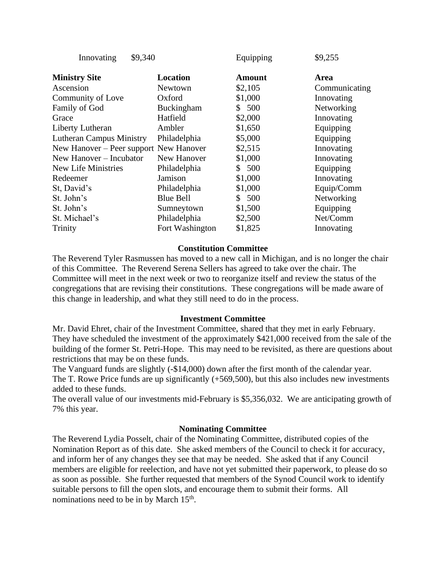| \$9,255       |
|---------------|
|               |
| Communicating |
| Innovating    |
| Networking    |
| Innovating    |
| Equipping     |
| Equipping     |
| Innovating    |
| Innovating    |
| Equipping     |
| Innovating    |
| Equip/Comm    |
| Networking    |
| Equipping     |
| Net/Comm      |
| Innovating    |
|               |

#### **Constitution Committee**

The Reverend Tyler Rasmussen has moved to a new call in Michigan, and is no longer the chair of this Committee. The Reverend Serena Sellers has agreed to take over the chair. The Committee will meet in the next week or two to reorganize itself and review the status of the congregations that are revising their constitutions. These congregations will be made aware of this change in leadership, and what they still need to do in the process.

#### **Investment Committee**

Mr. David Ehret, chair of the Investment Committee, shared that they met in early February. They have scheduled the investment of the approximately \$421,000 received from the sale of the building of the former St. Petri-Hope. This may need to be revisited, as there are questions about restrictions that may be on these funds.

The Vanguard funds are slightly (-\$14,000) down after the first month of the calendar year. The T. Rowe Price funds are up significantly (+569,500), but this also includes new investments added to these funds.

The overall value of our investments mid-February is \$5,356,032. We are anticipating growth of 7% this year.

#### **Nominating Committee**

The Reverend Lydia Posselt, chair of the Nominating Committee, distributed copies of the Nomination Report as of this date. She asked members of the Council to check it for accuracy, and inform her of any changes they see that may be needed. She asked that if any Council members are eligible for reelection, and have not yet submitted their paperwork, to please do so as soon as possible. She further requested that members of the Synod Council work to identify suitable persons to fill the open slots, and encourage them to submit their forms. All nominations need to be in by March 15<sup>th</sup>.